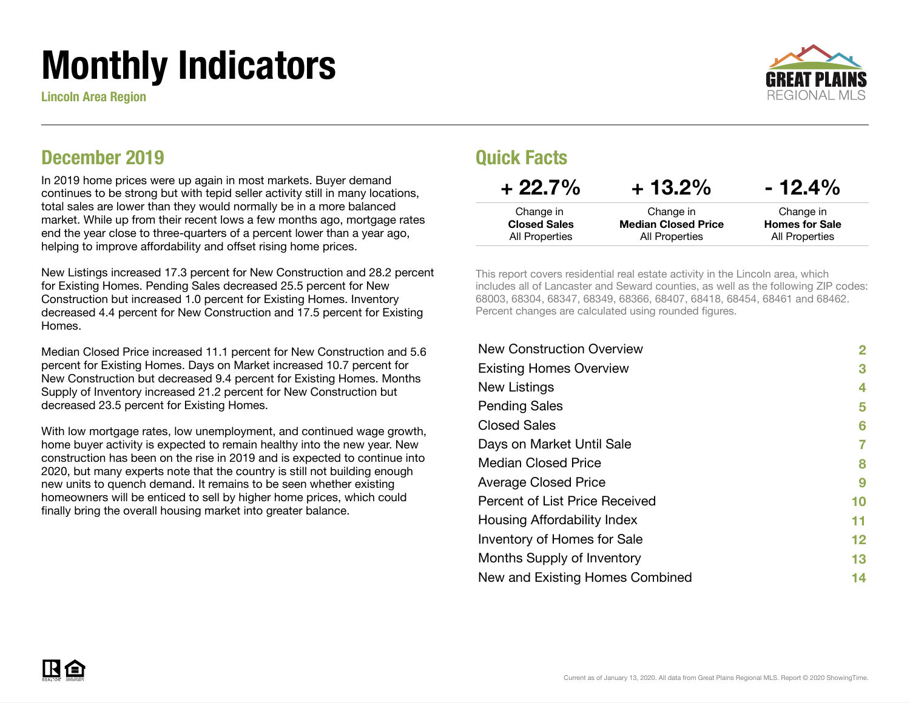# Monthly Indicators

Lincoln Area Region



### December 2019

In 2019 home prices were up again in most markets. Buyer demand continues to be strong but with tepid seller activity still in many locations, total sales are lower than they would normally be in a more balanced market. While up from their recent lows a few months ago, mortgage rates end the year close to three-quarters of a percent lower than a year ago, helping to improve affordability and offset rising home prices.

New Listings increased 17.3 percent for New Construction and 28.2 percent for Existing Homes. Pending Sales decreased 25.5 percent for New Construction but increased 1.0 percent for Existing Homes. Inventory decreased 4.4 percent for New Construction and 17.5 percent for Existing Homes.

Median Closed Price increased 11.1 percent for New Construction and 5.6 percent for Existing Homes. Days on Market increased 10.7 percent for New Construction but decreased 9.4 percent for Existing Homes. Months Supply of Inventory increased 21.2 percent for New Construction but decreased 23.5 percent for Existing Homes.

With low mortgage rates, low unemployment, and continued wage growth, home buyer activity is expected to remain healthy into the new year. New construction has been on the rise in 2019 and is expected to continue into 2020, but many experts note that the country is still not building enough new units to quench demand. It remains to be seen whether existing homeowners will be enticed to sell by higher home prices, which could finally bring the overall housing market into greater balance.

### Quick Facts

| $+22.7%$            | $+13.2\%$                  | $-12.4\%$             |
|---------------------|----------------------------|-----------------------|
| Change in           | Change in                  | Change in             |
| <b>Closed Sales</b> | <b>Median Closed Price</b> | <b>Homes for Sale</b> |
| All Properties      | All Properties             | All Properties        |

This report covers residential real estate activity in the Lincoln area, which includes all of Lancaster and Seward counties, as well as the following ZIP codes: 68003, 68304, 68347, 68349, 68366, 68407, 68418, 68454, 68461 and 68462. Percent changes are calculated using rounded figures.

| <b>New Construction Overview</b>      | $\mathbf{2}$ |
|---------------------------------------|--------------|
| <b>Existing Homes Overview</b>        | 3            |
| New Listings                          | 4            |
| <b>Pending Sales</b>                  | 5            |
| <b>Closed Sales</b>                   | 6            |
| Days on Market Until Sale             |              |
| <b>Median Closed Price</b>            | 8            |
| <b>Average Closed Price</b>           | 9            |
| <b>Percent of List Price Received</b> | 10           |
| Housing Affordability Index           | 11           |
| Inventory of Homes for Sale           | 12           |
| Months Supply of Inventory            | 13           |
| New and Existing Homes Combined       | 14           |

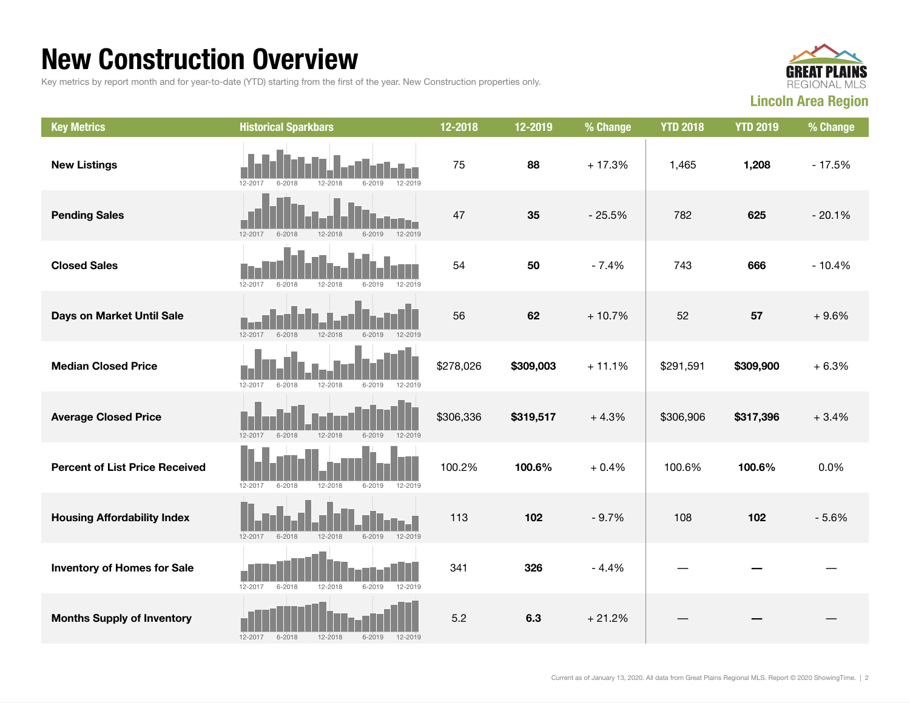### New Construction Overview

Key metrics by report month and for year-to-date (YTD) starting from the first of the year. New Construction properties only.



| <b>Key Metrics</b>                    | <b>Historical Sparkbars</b>                                   | 12-2018   | 12-2019   | % Change | <b>YTD 2018</b> | <b>YTD 2019</b> | % Change |
|---------------------------------------|---------------------------------------------------------------|-----------|-----------|----------|-----------------|-----------------|----------|
| <b>New Listings</b>                   | 12-2017<br>$6 - 2019$<br>12-2019<br>$6 - 2018$<br>12-2018     | 75        | 88        | $+17.3%$ | 1,465           | 1,208           | $-17.5%$ |
| <b>Pending Sales</b>                  | 12-2019<br>12-2017<br>$6 - 2018$<br>12-2018<br>$6 - 2019$     | 47        | 35        | $-25.5%$ | 782             | 625             | $-20.1%$ |
| <b>Closed Sales</b>                   | 12-2019<br>12-2017<br>$6 - 2018$<br>12-2018<br>$6 - 2019$     | 54        | 50        | $-7.4%$  | 743             | 666             | $-10.4%$ |
| Days on Market Until Sale             | 12-2017<br>12-2018<br>12-2019<br>$6 - 2018$<br>6-2019         | 56        | 62        | $+10.7%$ | 52              | 57              | $+9.6%$  |
| <b>Median Closed Price</b>            | $6 - 2018$<br>12-2018<br>$12 - 2017$<br>$6 - 2019$<br>12-2019 | \$278,026 | \$309,003 | $+11.1%$ | \$291,591       | \$309,900       | $+6.3%$  |
| <b>Average Closed Price</b>           | 12-2017<br>$6 - 2018$<br>12-2018<br>$6 - 2019$<br>12-2019     | \$306,336 | \$319,517 | $+4.3%$  | \$306,906       | \$317,396       | $+3.4%$  |
| <b>Percent of List Price Received</b> | 12-2018<br>$12 - 2017$<br>$6 - 2018$<br>$6 - 2019$<br>12-2019 | 100.2%    | 100.6%    | $+0.4%$  | 100.6%          | 100.6%          | 0.0%     |
| <b>Housing Affordability Index</b>    | $12 - 2017$<br>$6 - 2018$<br>12-2018<br>$6 - 2019$<br>12-2019 | 113       | 102       | $-9.7%$  | 108             | 102             | $-5.6%$  |
| <b>Inventory of Homes for Sale</b>    | 12-2017<br>12-2018<br>$6 - 2019$<br>12-2019<br>$6 - 2018$     | 341       | 326       | $-4.4%$  |                 |                 |          |
| <b>Months Supply of Inventory</b>     | $12 - 2017$<br>$6 - 2018$<br>12-2018<br>$6 - 2019$<br>12-2019 | 5.2       | 6.3       | $+21.2%$ |                 |                 |          |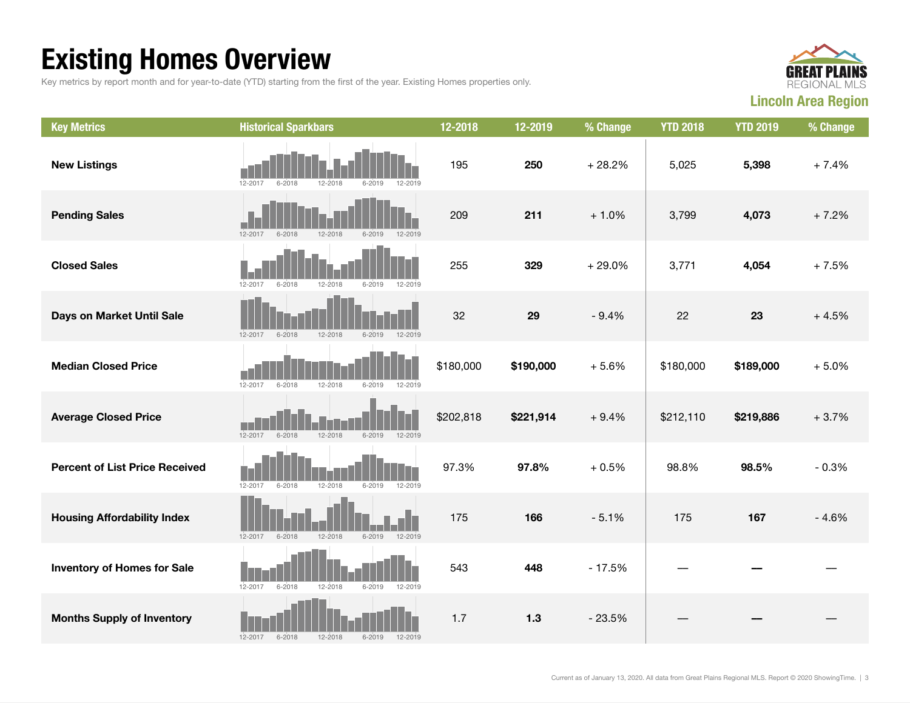## Existing Homes Overview

Key metrics by report month and for year-to-date (YTD) starting from the first of the year. Existing Homes properties only.



| <b>Key Metrics</b>                    | <b>Historical Sparkbars</b>                                   | 12-2018   | 12-2019   | % Change | <b>YTD 2018</b> | <b>YTD 2019</b> | % Change |
|---------------------------------------|---------------------------------------------------------------|-----------|-----------|----------|-----------------|-----------------|----------|
| <b>New Listings</b>                   | 12-2017<br>$6 - 2018$<br>12-2018<br>6-2019<br>12-2019         | 195       | 250       | $+28.2%$ | 5,025           | 5,398           | $+7.4%$  |
| <b>Pending Sales</b>                  | 12-2017<br>12-2019<br>$6 - 2018$<br>12-2018<br>$6 - 2019$     | 209       | 211       | $+1.0%$  | 3,799           | 4,073           | $+7.2%$  |
| <b>Closed Sales</b>                   | 12-2017<br>$6 - 2018$<br>12-2018<br>$6 - 2019$<br>12-2019     | 255       | 329       | $+29.0%$ | 3,771           | 4,054           | $+7.5%$  |
| Days on Market Until Sale             | 12-2018<br>$6 - 2019$<br>12-2019<br>$12 - 2017$<br>$6 - 2018$ | 32        | 29        | $-9.4%$  | 22              | 23              | $+4.5%$  |
| <b>Median Closed Price</b>            | 12-2017<br>12-2018<br>$6 - 2018$<br>$6 - 2019$<br>12-2019     | \$180,000 | \$190,000 | $+5.6%$  | \$180,000       | \$189,000       | $+5.0%$  |
| <b>Average Closed Price</b>           | $12 - 2017$<br>$6 - 2018$<br>12-2018<br>$6 - 2019$<br>12-2019 | \$202,818 | \$221,914 | $+9.4%$  | \$212,110       | \$219,886       | $+3.7%$  |
| <b>Percent of List Price Received</b> | 12-2017<br>12-2018<br>$6 - 2018$<br>$6 - 2019$<br>12-2019     | 97.3%     | 97.8%     | $+0.5%$  | 98.8%           | 98.5%           | $-0.3%$  |
| <b>Housing Affordability Index</b>    | 12-2018<br>12-2019<br>12-2017<br>$6 - 2018$<br>$6 - 2019$     | 175       | 166       | $-5.1%$  | 175             | 167             | $-4.6%$  |
| <b>Inventory of Homes for Sale</b>    | 12-2017<br>$6 - 2018$<br>12-2018<br>$6 - 2019$<br>12-2019     | 543       | 448       | $-17.5%$ |                 |                 |          |
| <b>Months Supply of Inventory</b>     | $6 - 2018$<br>12-2018<br>12-2019<br>12-2017<br>$6 - 2019$     | 1.7       | $1.3$     | $-23.5%$ |                 |                 |          |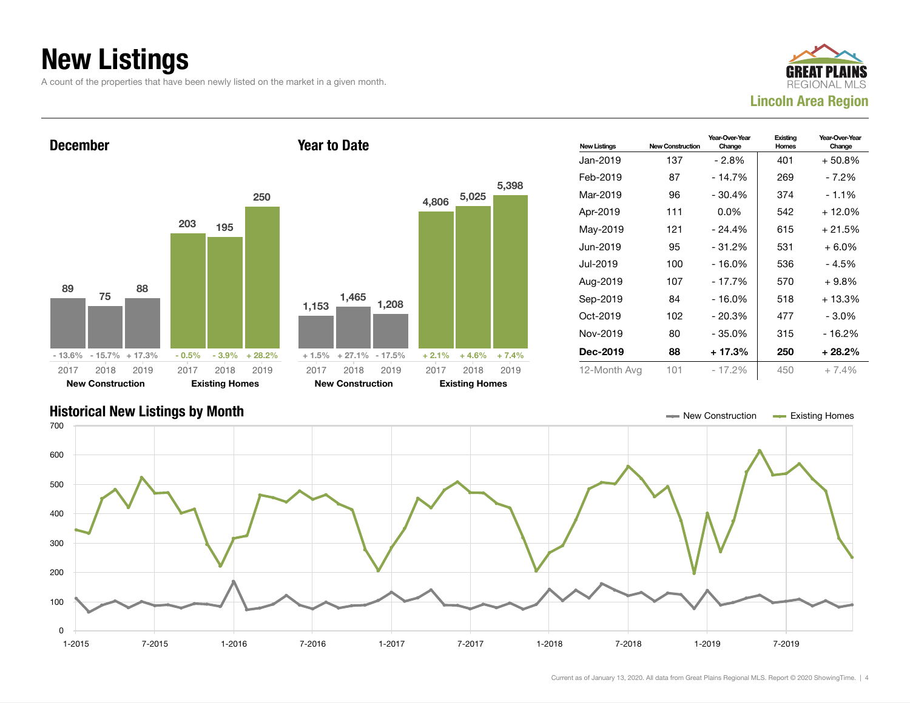### New Listings

A count of the properties that have been newly listed on the market in a given month.





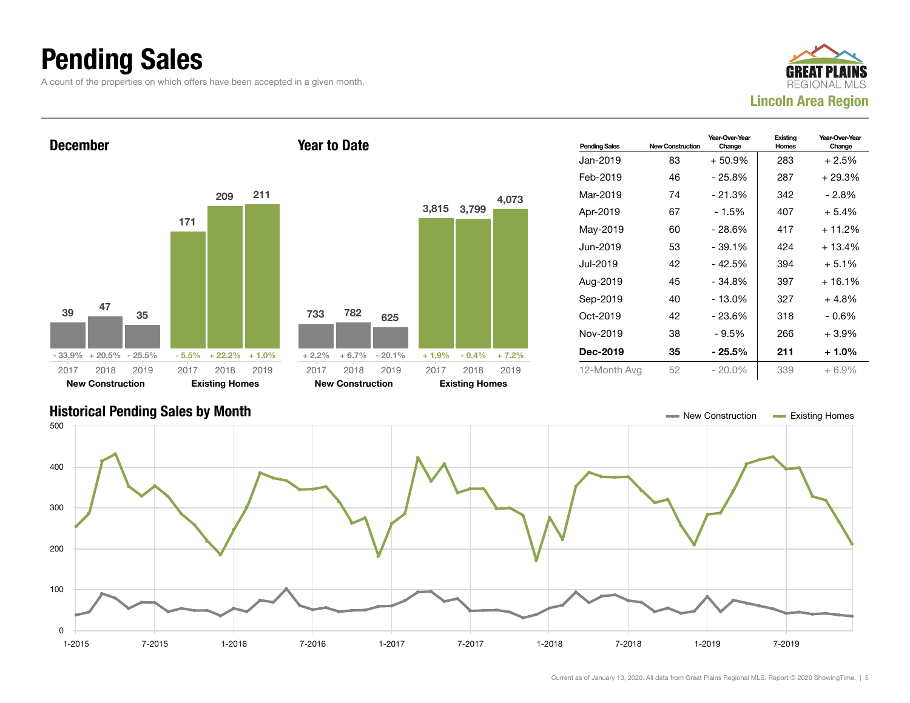### Pending Sales

A count of the properties on which offers have been accepted in a given month.





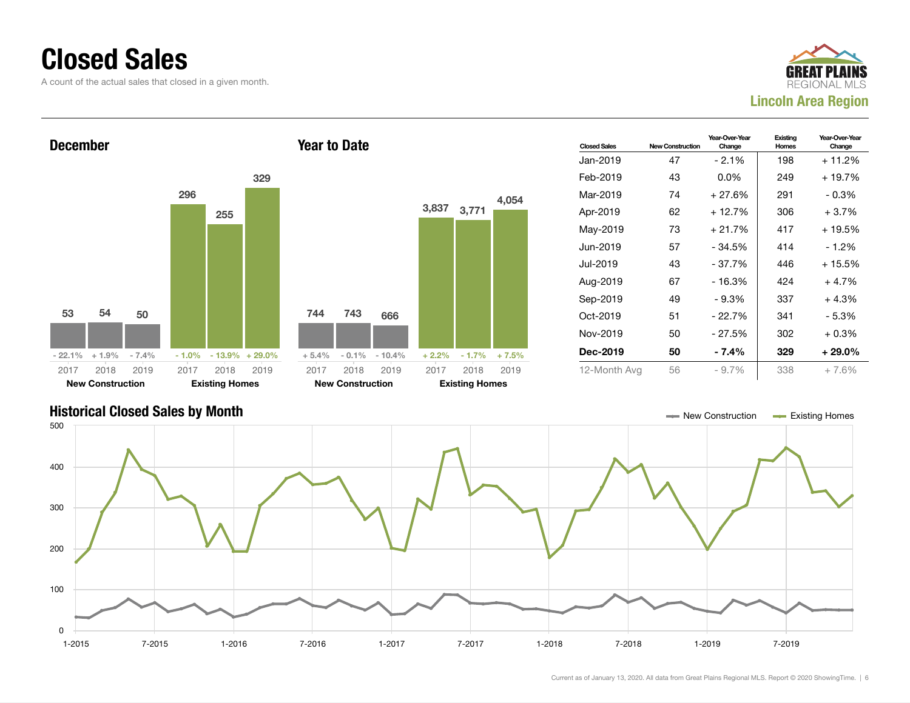### Closed Sales

A count of the actual sales that closed in a given month.





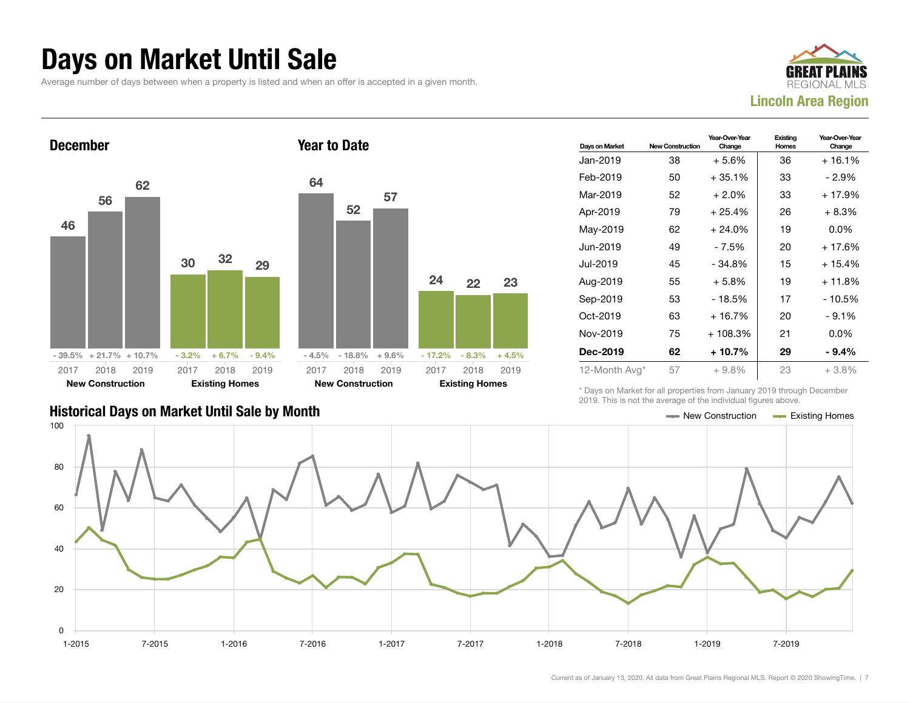### Days on Market Until Sale

Average number of days between when a property is listed and when an offer is accepted in a given month.





| Days on Market | <b>New Construction</b> | Year-Over-Year<br>Change | Existing<br>Homes | Year-Over-Year<br>Change |
|----------------|-------------------------|--------------------------|-------------------|--------------------------|
| Jan-2019       | 38                      | $+5.6%$                  | 36                | $+16.1%$                 |
| Feb-2019       | 50                      | $+35.1%$                 | 33                | - 2.9%                   |
| Mar-2019       | 52                      | $+2.0\%$                 | 33                | $+17.9%$                 |
| Apr-2019       | 79                      | $+25.4%$                 | 26                | $+8.3%$                  |
| May-2019       | 62                      | $+24.0%$                 | 19                | $0.0\%$                  |
| Jun-2019       | 49                      | - 7.5%                   | 20                | $+17.6%$                 |
| Jul-2019       | 45                      | $-34.8%$                 | 15                | $+15.4%$                 |
| Aug-2019       | 55                      | $+5.8\%$                 | 19                | $+11.8%$                 |
| Sep-2019       | 53                      | - 18.5%                  | 17                | - 10.5%                  |
| $Oct-2019$     | 63                      | $+16.7%$                 | 20                | $-9.1%$                  |
| Nov-2019       | 75                      | $+108.3%$                | 21                | $0.0\%$                  |
| Dec-2019       | 62                      | $+10.7%$                 | 29                | $-9.4%$                  |
| 12-Month Avg*  | 57                      | $+9.8%$                  | 23                | $+3.8%$                  |

\* Days on Market for all properties from January 2019 through December 2019. This is not the average of the individual figures above.

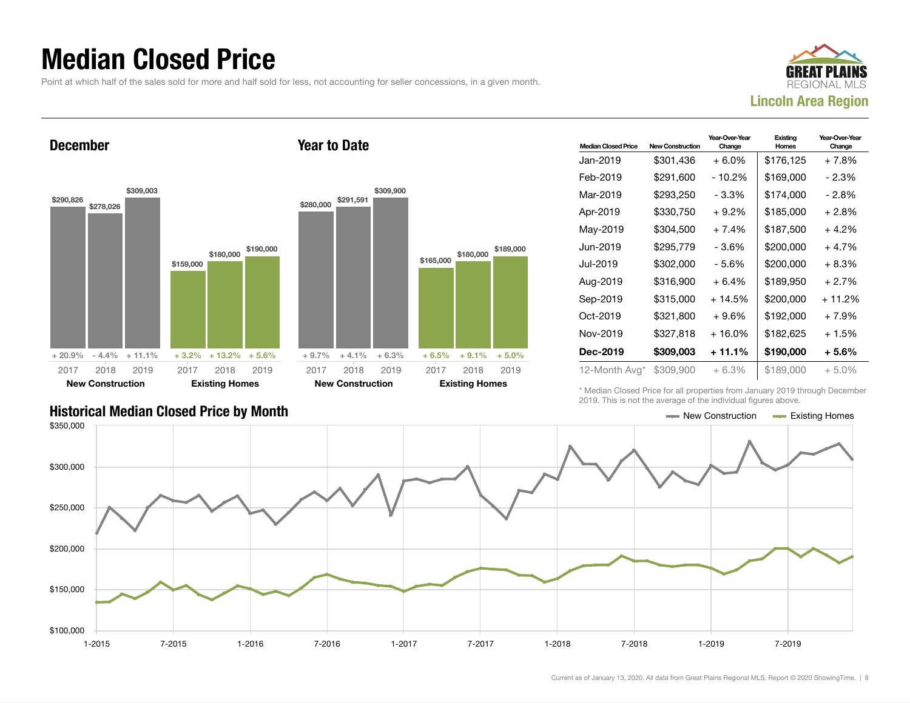### Median Closed Price

Point at which half of the sales sold for more and half sold for less, not accounting for seller concessions, in a given month.

Year to Date



December



| <b>Median Closed Price</b> | <b>New Construction</b> | Year-Over-Year<br>Change | Existina<br>Homes | Year-Over-Year<br>Change |
|----------------------------|-------------------------|--------------------------|-------------------|--------------------------|
| Jan-2019                   | \$301,436               | $+6.0\%$                 | \$176,125         | + 7.8%                   |
| Feb-2019                   | \$291,600               | - 10.2%                  | \$169,000         | - 2.3%                   |
| Mar-2019                   | \$293,250               | - 3.3%                   | \$174,000         | - 2.8%                   |
| Apr-2019                   | \$330,750               | $+9.2%$                  | \$185,000         | + 2.8%                   |
| May-2019                   | \$304,500               | $+7.4%$                  | \$187,500         | + 4.2%                   |
| Jun-2019.                  | \$295,779               | - 3.6%                   | \$200,000         | + 4.7%                   |
| Jul-2019                   | \$302,000               | - 5.6%                   | \$200,000         | + 8.3%                   |
| Aug-2019                   | \$316,900               | $+6.4%$                  | \$189,950         | + 2.7%                   |
| Sep-2019                   | \$315,000               | + 14.5%                  | \$200,000         | + 11.2%                  |
| Oct-2019                   | \$321,800               | $+9.6%$                  | \$192,000         | + 7.9%                   |
| Nov-2019                   | \$327,818               | $+16.0%$                 | \$182,625         | + 1.5%                   |
| Dec-2019                   | \$309,003               | + 11.1%                  | \$190,000         | + 5.6%                   |
| 12-Month Avg*              | \$309,900               | $+6.3%$                  | \$189,000         | $+5.0\%$                 |

\* Median Closed Price for all properties from January 2019 through December 2019. This is not the average of the individual figures above.

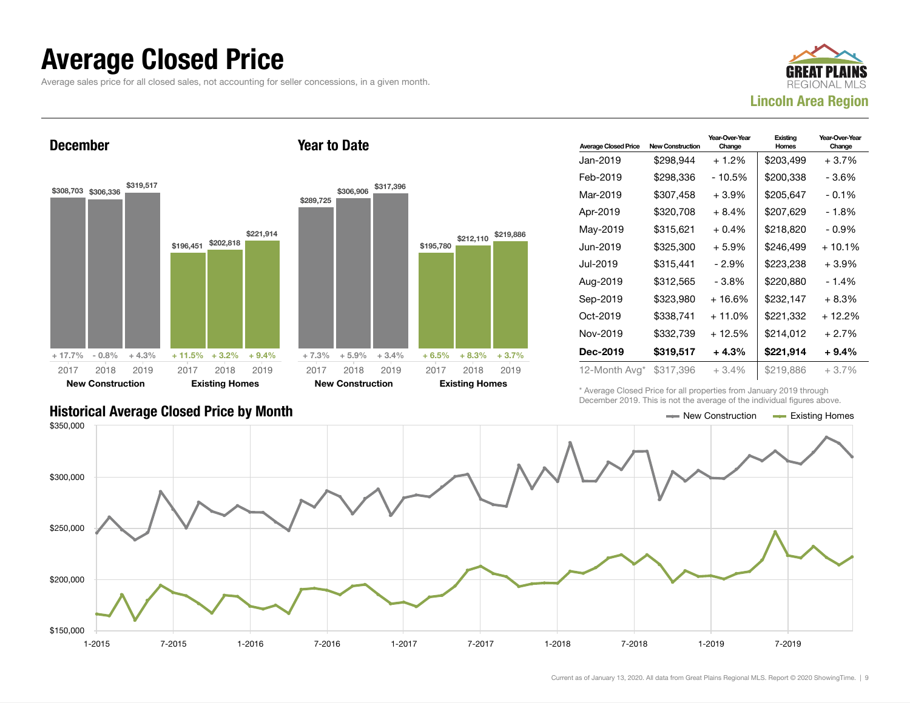### Average Closed Price

Average sales price for all closed sales, not accounting for seller concessions, in a given month.



December



Year to Date

| <b>Average Closed Price</b> | <b>New Construction</b> | Year-Over-Year<br>Change | Existing<br>Homes | Year-Over-Year<br>Change |
|-----------------------------|-------------------------|--------------------------|-------------------|--------------------------|
| Jan-2019                    | \$298,944               | $+1.2\%$                 | \$203,499         | $+3.7%$                  |
| Feb-2019                    | \$298,336               | - 10.5%                  | \$200,338         | - 3.6%                   |
| Mar-2019                    | \$307,458               | $+3.9%$                  | \$205,647         | $-0.1\%$                 |
| Apr-2019                    | \$320,708               | + 8.4%                   | \$207.629         | - 1.8%                   |
| May-2019                    | \$315,621               | $+0.4%$                  | \$218,820         | $-0.9\%$                 |
| Jun-2019.                   | \$325,300               | $+5.9\%$                 | \$246,499         | $+10.1%$                 |
| Jul-2019                    | \$315,441               | - 2.9%                   | \$223,238         | +3.9%                    |
| Aug-2019                    | \$312,565               | - 3.8%                   | \$220,880         | $-1.4%$                  |
| Sep-2019                    | \$323,980               | + 16.6%                  | \$232,147         | + 8.3%                   |
| Oct-2019                    | \$338,741               | $+11.0%$                 | \$221,332         | $+12.2%$                 |
| Nov-2019                    | \$332,739               | + 12.5%                  | \$214.012         | $+2.7%$                  |
| Dec-2019                    | \$319,517               | $+4.3%$                  | \$221,914         | + 9.4%                   |
| 12-Month Avg*               | \$317,396               | $+3.4\%$                 | \$219,886         | $+3.7\%$                 |

\* Average Closed Price for all properties from January 2019 through December 2019. This is not the average of the individual figures above.



#### Historical Average Closed Price by Month  $\blacksquare$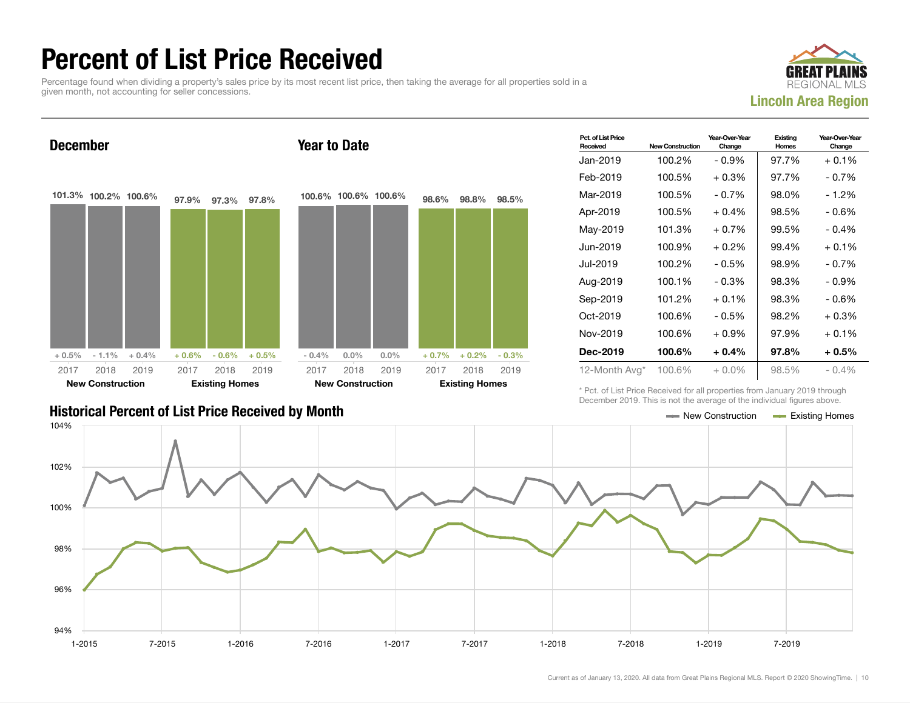### Percent of List Price Received

Percentage found when dividing a property's sales price by its most recent list price, then taking the average for all properties sold in a given month, not accounting for seller concessions.





| Pct. of List Price<br>Received | <b>New Construction</b> | Year-Over-Year<br>Change | Existing<br>Homes | Year-Over-Year<br>Change |
|--------------------------------|-------------------------|--------------------------|-------------------|--------------------------|
| Jan-2019                       | 100.2%                  | - 0.9%                   | 97.7%             | $+0.1%$                  |
| Feb-2019                       | 100.5%                  | $+0.3\%$                 | 97.7%             | - 0.7%                   |
| Mar-2019                       | 100.5%                  | $-0.7\%$                 | 98.0%             | - 1.2%                   |
| Apr-2019                       | 100.5%                  | $+0.4%$                  | 98.5%             | - 0.6%                   |
| Mav-2019                       | 101.3%                  | $+0.7\%$                 | 99.5%             | $-0.4%$                  |
| Jun-2019                       | 100.9%                  | $+0.2\%$                 | 99.4%             | $+0.1%$                  |
| Jul-2019                       | 100.2%                  | $-0.5%$                  | 98.9%             | $-0.7%$                  |
| Aug-2019                       | 100.1%                  | $-0.3%$                  | 98.3%             | $-0.9%$                  |
| Sep-2019                       | 101.2%                  | $+0.1%$                  | 98.3%             | $-0.6%$                  |
| Oct-2019                       | 100.6%                  | $-0.5%$                  | 98.2%             | $+0.3%$                  |
| Nov-2019                       | 100.6%                  | $+0.9%$                  | 97.9%             | $+0.1\%$                 |
| Dec-2019                       | 100.6%                  | $+0.4\%$                 | 97.8%             | $+0.5%$                  |
| 12-Month Avg*                  | 100.6%                  | $+0.0\%$                 | 98.5%             | $-0.4%$                  |

\* Pct. of List Price Received for all properties from January 2019 through December 2019. This is not the average of the individual figures above.



#### Historical Percent of List Price Received by Month New Construction According Homes Existing Homes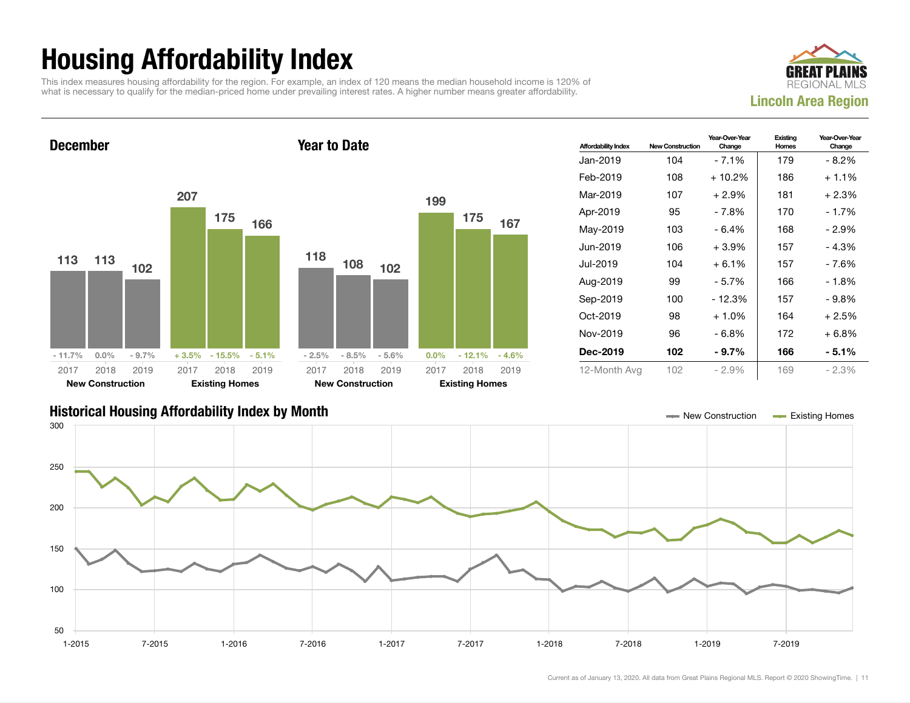## Housing Affordability Index

This index measures housing affordability for the region. For example, an index of 120 means the median household income is 120% of what is necessary to qualify for the median-priced home under prevailing interest rates. A higher number means greater affordability.



December 113 113 102 - 11.7% 0.0% - 9.7% 207 175 166 + 3.5% - 15.5% - 5.1% 2017 New Construction 2018 2019 2017 Existing Homes 2018 2019 Year to Date 118 108 102 - 2.5% - 8.5% - 5.6% 199 175 167 0.0% - 12.1% - 4.6% 2017 New Construction 2018 2019 2017 Existing Homes 2018 2019

| <b>Affordability Index</b> | <b>New Construction</b> | Year-Over-Year<br>Change | Existing<br>Homes | Year-Over-Year<br>Change |
|----------------------------|-------------------------|--------------------------|-------------------|--------------------------|
| Jan-2019                   | 104                     | - 7.1%                   | 179               | $-8.2\%$                 |
| Feb-2019                   | 108                     | $+10.2\%$                | 186               | $+1.1\%$                 |
| Mar-2019                   | 107                     | $+2.9\%$                 | 181               | $+2.3%$                  |
| Apr-2019                   | 95                      | - 7.8%                   | 170               | $-1.7%$                  |
| May-2019                   | 103                     | - 6.4%                   | 168               | $-2.9\%$                 |
| Jun-2019                   | 106                     | $+3.9\%$                 | 157               | $-4.3%$                  |
| Jul-2019.                  | 104                     | $+6.1%$                  | 157               | - 7.6%                   |
| Aug-2019                   | 99                      | - 5.7%                   | 166               | - 1.8%                   |
| Sep-2019                   | 100                     | - 12.3%                  | 157               | $-9.8\%$                 |
| Oct-2019                   | 98                      | $+1.0%$                  | 164               | $+2.5%$                  |
| Nov-2019                   | 96                      | - 6.8%                   | 172               | $+6.8\%$                 |
| Dec-2019                   | 102                     | $-9.7\%$                 | 166               | $-5.1\%$                 |
| 12-Month Avg               | 102                     | $-2.9%$                  | 169               | $-2.3%$                  |

#### Historical Housing Affordability Index by Month New Construction Existing Homes

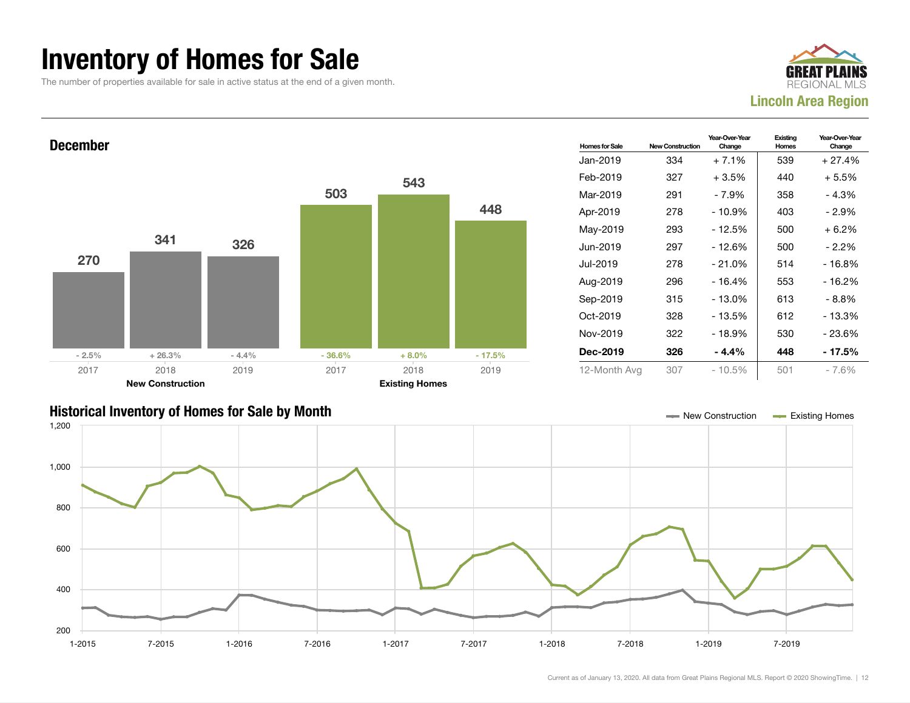### Inventory of Homes for Sale

The number of properties available for sale in active status at the end of a given month.





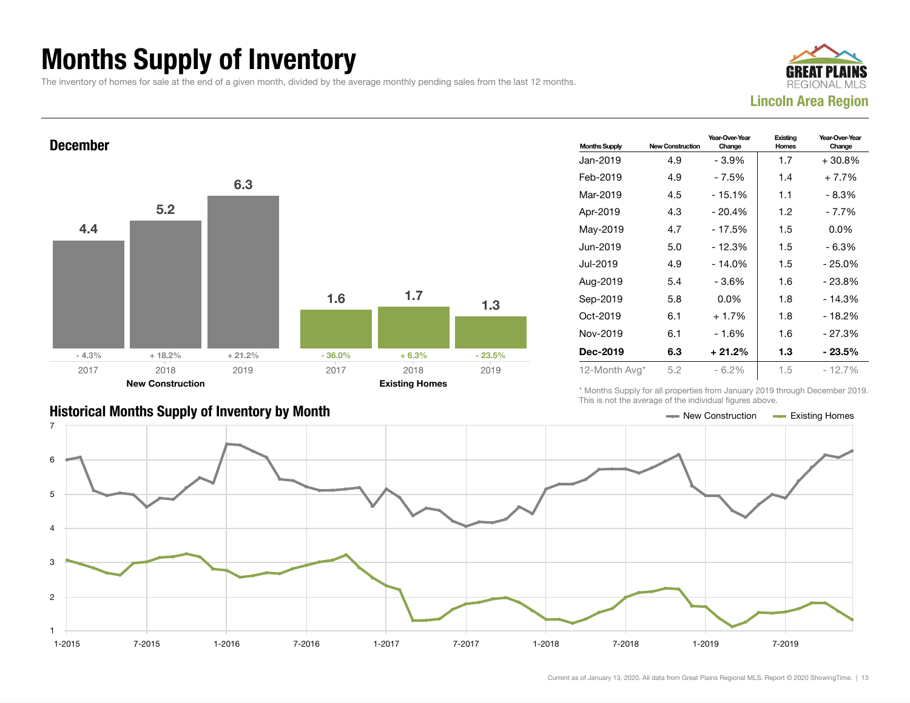### Months Supply of Inventory

The inventory of homes for sale at the end of a given month, divided by the average monthly pending sales from the last 12 months.



#### December 4.4 5.2 6.3  $-4.3\%$  + 18.2% + 21.2% 1.6 1.7 1.3  $-36.0\%$   $+6.3\%$   $-23.5\%$ 2017 New Construction 2018 2019 2017 Existing Homes 2018 2019

| <b>Months Supply</b> | <b>New Construction</b> | Year-Over-Year<br>Change | Existing<br>Homes | Year-Over-Year<br>Change |
|----------------------|-------------------------|--------------------------|-------------------|--------------------------|
| Jan-2019             | 4.9                     | - 3.9%                   | 1.7               | $+30.8\%$                |
| Feb-2019             | 4.9                     | - 7.5%                   | 1.4               | $+7.7%$                  |
| Mar-2019             | 4.5                     | $-15.1%$                 | 1.1               | - 8.3%                   |
| Apr-2019             | 4.3                     | $-20.4%$                 | 1.2               | - 7.7%                   |
| May-2019             | 4.7                     | - 17.5%                  | 1.5               | $0.0\%$                  |
| Jun-2019             | 5.0                     | $-12.3%$                 | 1.5               | - 6.3%                   |
| Jul-2019             | 4.9                     | $-14.0%$                 | 1.5               | $-25.0%$                 |
| Aug-2019             | 5.4                     | - 3.6%                   | 1.6               | - 23.8%                  |
| Sep-2019             | 5.8                     | $0.0\%$                  | 1.8               | $-14.3%$                 |
| Oct-2019             | 6.1                     | $+1.7%$                  | 1.8               | $-18.2%$                 |
| Nov-2019             | 6.1                     | - 1.6%                   | 1.6               | $-27.3%$                 |
| Dec-2019             | 6.3                     | $+21.2%$                 | 1.3               | - 23.5%                  |
| 12-Month Avg*        | 5.2                     | $-6.2\%$                 | 1.5               | - 12.7%                  |

\* Months Supply for all properties from January 2019 through December 2019. This is not the average of the individual figures above.